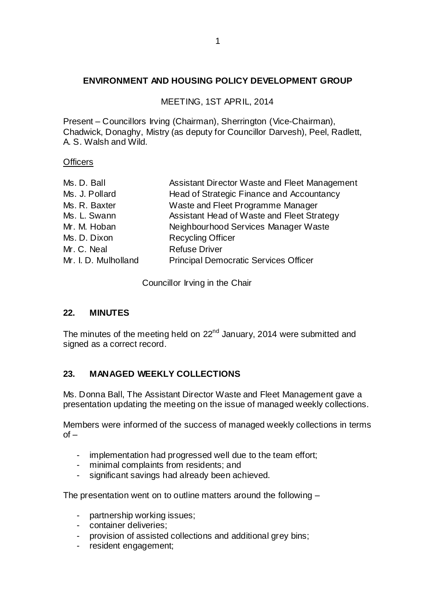## **ENVIRONMENT AND HOUSING POLICY DEVELOPMENT GROUP**

MEETING, 1ST APRIL, 2014

Present – Councillors Irving (Chairman), Sherrington (Vice-Chairman), Chadwick, Donaghy, Mistry (as deputy for Councillor Darvesh), Peel, Radlett, A. S. Walsh and Wild.

#### **Officers**

| Ms. D. Ball          | Assistant Director Waste and Fleet Management |
|----------------------|-----------------------------------------------|
| Ms. J. Pollard       | Head of Strategic Finance and Accountancy     |
| Ms. R. Baxter        | Waste and Fleet Programme Manager             |
| Ms. L. Swann         | Assistant Head of Waste and Fleet Strategy    |
| Mr. M. Hoban         | Neighbourhood Services Manager Waste          |
| Ms. D. Dixon         | <b>Recycling Officer</b>                      |
| Mr. C. Neal          | <b>Refuse Driver</b>                          |
| Mr. I. D. Mulholland | <b>Principal Democratic Services Officer</b>  |
|                      |                                               |

Councillor Irving in the Chair

## **22. MINUTES**

The minutes of the meeting held on  $22<sup>nd</sup>$  January, 2014 were submitted and signed as a correct record.

## **23. MANAGED WEEKLY COLLECTIONS**

Ms. Donna Ball, The Assistant Director Waste and Fleet Management gave a presentation updating the meeting on the issue of managed weekly collections.

Members were informed of the success of managed weekly collections in terms  $of -$ 

- implementation had progressed well due to the team effort;
- minimal complaints from residents; and
- significant savings had already been achieved.

The presentation went on to outline matters around the following –

- partnership working issues;
- container deliveries;
- provision of assisted collections and additional grey bins;
- resident engagement;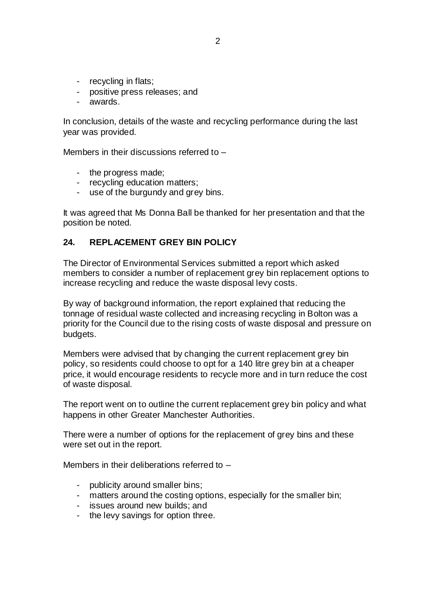- recycling in flats;
- positive press releases; and
- awards.

In conclusion, details of the waste and recycling performance during the last year was provided.

Members in their discussions referred to –

- the progress made;
- recycling education matters;
- use of the burgundy and grey bins.

It was agreed that Ms Donna Ball be thanked for her presentation and that the position be noted.

#### **24. REPLACEMENT GREY BIN POLICY**

The Director of Environmental Services submitted a report which asked members to consider a number of replacement grey bin replacement options to increase recycling and reduce the waste disposal levy costs.

By way of background information, the report explained that reducing the tonnage of residual waste collected and increasing recycling in Bolton was a priority for the Council due to the rising costs of waste disposal and pressure on budgets.

Members were advised that by changing the current replacement grey bin policy, so residents could choose to opt for a 140 litre grey bin at a cheaper price, it would encourage residents to recycle more and in turn reduce the cost of waste disposal.

The report went on to outline the current replacement grey bin policy and what happens in other Greater Manchester Authorities.

There were a number of options for the replacement of grey bins and these were set out in the report.

Members in their deliberations referred to –

- publicity around smaller bins;
- matters around the costing options, especially for the smaller bin;
- issues around new builds; and
- the levy savings for option three.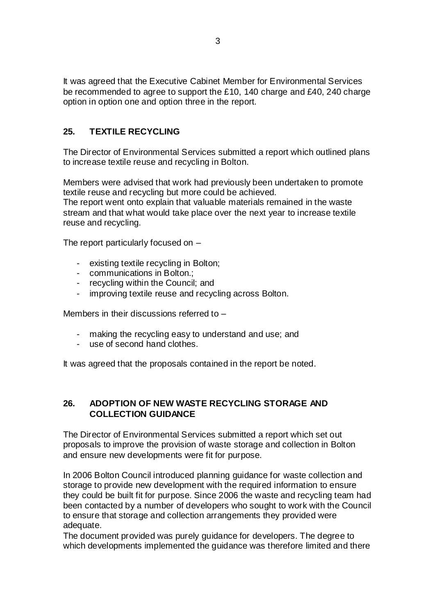It was agreed that the Executive Cabinet Member for Environmental Services be recommended to agree to support the £10, 140 charge and £40, 240 charge option in option one and option three in the report.

# **25. TEXTILE RECYCLING**

The Director of Environmental Services submitted a report which outlined plans to increase textile reuse and recycling in Bolton.

Members were advised that work had previously been undertaken to promote textile reuse and recycling but more could be achieved. The report went onto explain that valuable materials remained in the waste stream and that what would take place over the next year to increase textile reuse and recycling.

The report particularly focused on –

- existing textile recycling in Bolton;
- communications in Bolton.;
- recycling within the Council; and
- improving textile reuse and recycling across Bolton.

Members in their discussions referred to –

- making the recycling easy to understand and use; and
- use of second hand clothes.

It was agreed that the proposals contained in the report be noted.

### **26. ADOPTION OF NEW WASTE RECYCLING STORAGE AND COLLECTION GUIDANCE**

The Director of Environmental Services submitted a report which set out proposals to improve the provision of waste storage and collection in Bolton and ensure new developments were fit for purpose.

In 2006 Bolton Council introduced planning guidance for waste collection and storage to provide new development with the required information to ensure they could be built fit for purpose. Since 2006 the waste and recycling team had been contacted by a number of developers who sought to work with the Council to ensure that storage and collection arrangements they provided were adequate.

The document provided was purely guidance for developers. The degree to which developments implemented the guidance was therefore limited and there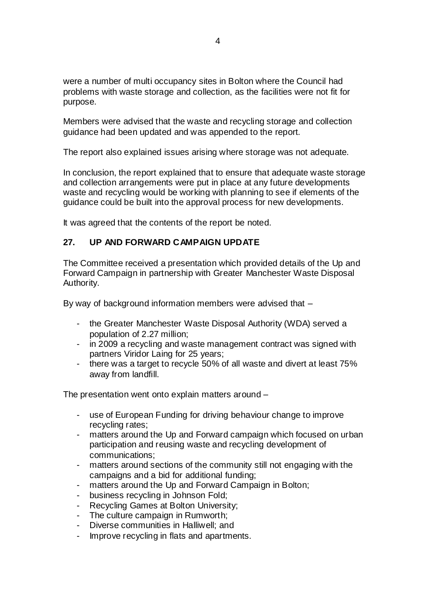were a number of multi occupancy sites in Bolton where the Council had problems with waste storage and collection, as the facilities were not fit for purpose.

Members were advised that the waste and recycling storage and collection guidance had been updated and was appended to the report.

The report also explained issues arising where storage was not adequate.

In conclusion, the report explained that to ensure that adequate waste storage and collection arrangements were put in place at any future developments waste and recycling would be working with planning to see if elements of the guidance could be built into the approval process for new developments.

It was agreed that the contents of the report be noted.

## **27. UP AND FORWARD CAMPAIGN UPDATE**

The Committee received a presentation which provided details of the Up and Forward Campaign in partnership with Greater Manchester Waste Disposal Authority.

By way of background information members were advised that –

- the Greater Manchester Waste Disposal Authority (WDA) served a population of 2.27 million;
- in 2009 a recycling and waste management contract was signed with partners Viridor Laing for 25 years;
- there was a target to recycle 50% of all waste and divert at least 75% away from landfill.

The presentation went onto explain matters around –

- use of European Funding for driving behaviour change to improve recycling rates;
- matters around the Up and Forward campaign which focused on urban participation and reusing waste and recycling development of communications;
- matters around sections of the community still not engaging with the campaigns and a bid for additional funding;
- matters around the Up and Forward Campaign in Bolton;
- business recycling in Johnson Fold;
- Recycling Games at Bolton University;
- The culture campaign in Rumworth;
- Diverse communities in Halliwell; and
- Improve recycling in flats and apartments.